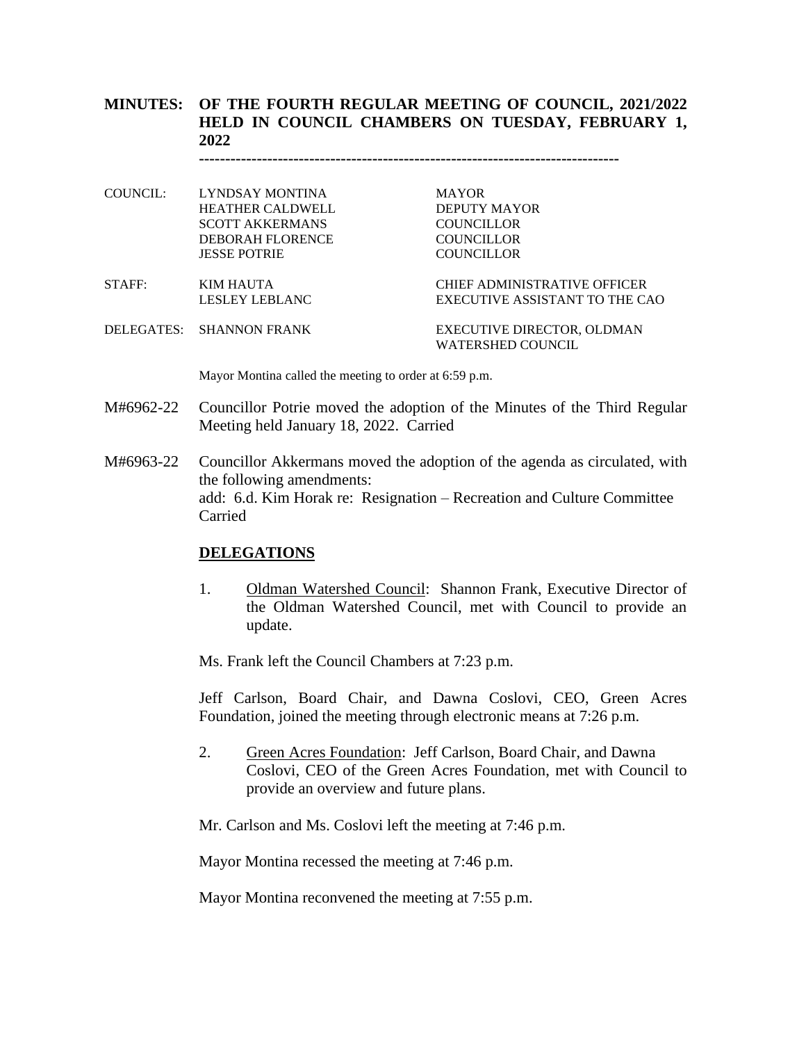# **MINUTES: OF THE FOURTH REGULAR MEETING OF COUNCIL, 2021/2022 HELD IN COUNCIL CHAMBERS ON TUESDAY, FEBRUARY 1, 2022**

**--------------------------------------------------------------------------------**

- COUNCIL: LYNDSAY MONTINA MAYOR HEATHER CALDWELL DEPUTY MAYOR SCOTT AKKERMANS COUNCILLOR DEBORAH FLORENCE COUNCILLOR JESSE POTRIE COUNCILLOR STAFF: KIM HAUTA CHIEF ADMINISTRATIVE OFFICER LESLEY LEBLANC EXECUTIVE ASSISTANT TO THE CAO
- DELEGATES: SHANNON FRANK EXECUTIVE DIRECTOR, OLDMAN WATERSHED COUNCIL

Mayor Montina called the meeting to order at 6:59 p.m.

- M#6962-22 Councillor Potrie moved the adoption of the Minutes of the Third Regular Meeting held January 18, 2022. Carried
- M#6963-22 Councillor Akkermans moved the adoption of the agenda as circulated, with the following amendments: add: 6.d. Kim Horak re: Resignation – Recreation and Culture Committee Carried

#### **DELEGATIONS**

1. Oldman Watershed Council: Shannon Frank, Executive Director of the Oldman Watershed Council, met with Council to provide an update.

Ms. Frank left the Council Chambers at 7:23 p.m.

Jeff Carlson, Board Chair, and Dawna Coslovi, CEO, Green Acres Foundation, joined the meeting through electronic means at 7:26 p.m.

2. Green Acres Foundation: Jeff Carlson, Board Chair, and Dawna Coslovi, CEO of the Green Acres Foundation, met with Council to provide an overview and future plans.

Mr. Carlson and Ms. Coslovi left the meeting at 7:46 p.m.

Mayor Montina recessed the meeting at 7:46 p.m.

Mayor Montina reconvened the meeting at 7:55 p.m.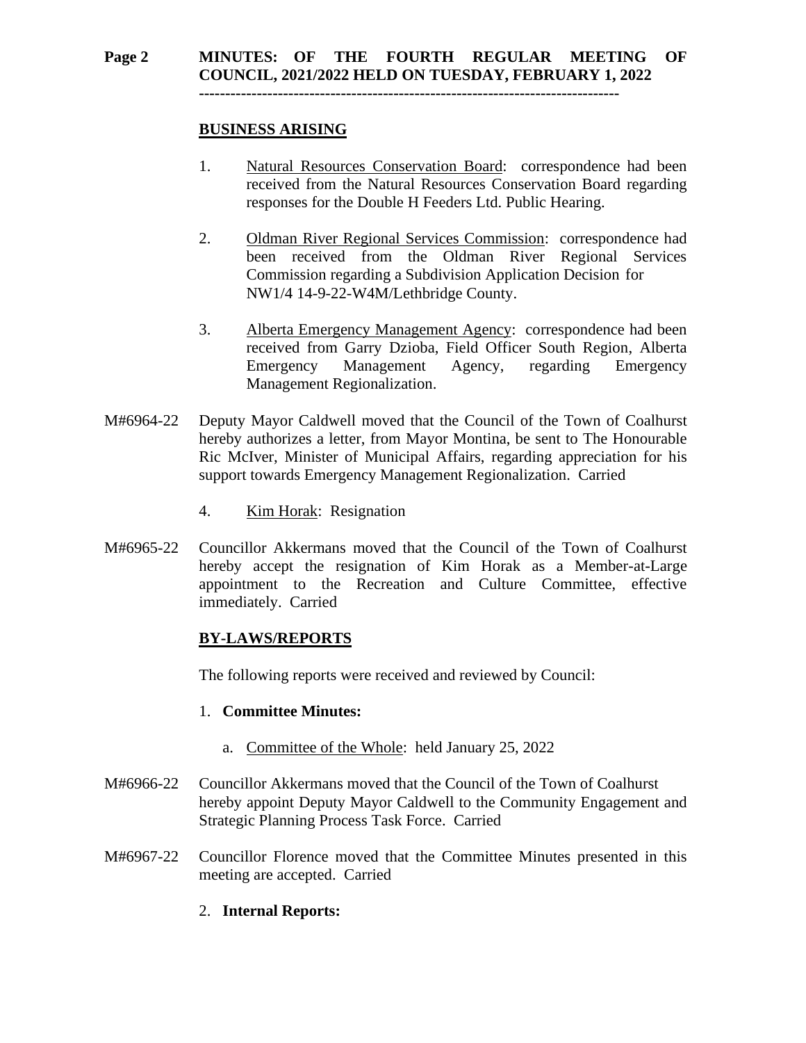## **BUSINESS ARISING**

- 1. Natural Resources Conservation Board: correspondence had been received from the Natural Resources Conservation Board regarding responses for the Double H Feeders Ltd. Public Hearing.
- 2. Oldman River Regional Services Commission: correspondence had been received from the Oldman River Regional Services Commission regarding a Subdivision Application Decision for NW1/4 14-9-22-W4M/Lethbridge County.
- 3. Alberta Emergency Management Agency: correspondence had been received from Garry Dzioba, Field Officer South Region, Alberta Emergency Management Agency, regarding Emergency Management Regionalization.
- M#6964-22 Deputy Mayor Caldwell moved that the Council of the Town of Coalhurst hereby authorizes a letter, from Mayor Montina, be sent to The Honourable Ric McIver, Minister of Municipal Affairs, regarding appreciation for his support towards Emergency Management Regionalization. Carried
	- 4. Kim Horak: Resignation
- M#6965-22 Councillor Akkermans moved that the Council of the Town of Coalhurst hereby accept the resignation of Kim Horak as a Member-at-Large appointment to the Recreation and Culture Committee, effective immediately. Carried

## **BY-LAWS/REPORTS**

The following reports were received and reviewed by Council:

#### 1. **Committee Minutes:**

- a. Committee of the Whole: held January 25, 2022
- M#6966-22 Councillor Akkermans moved that the Council of the Town of Coalhurst hereby appoint Deputy Mayor Caldwell to the Community Engagement and Strategic Planning Process Task Force. Carried
- M#6967-22 Councillor Florence moved that the Committee Minutes presented in this meeting are accepted. Carried

## 2. **Internal Reports:**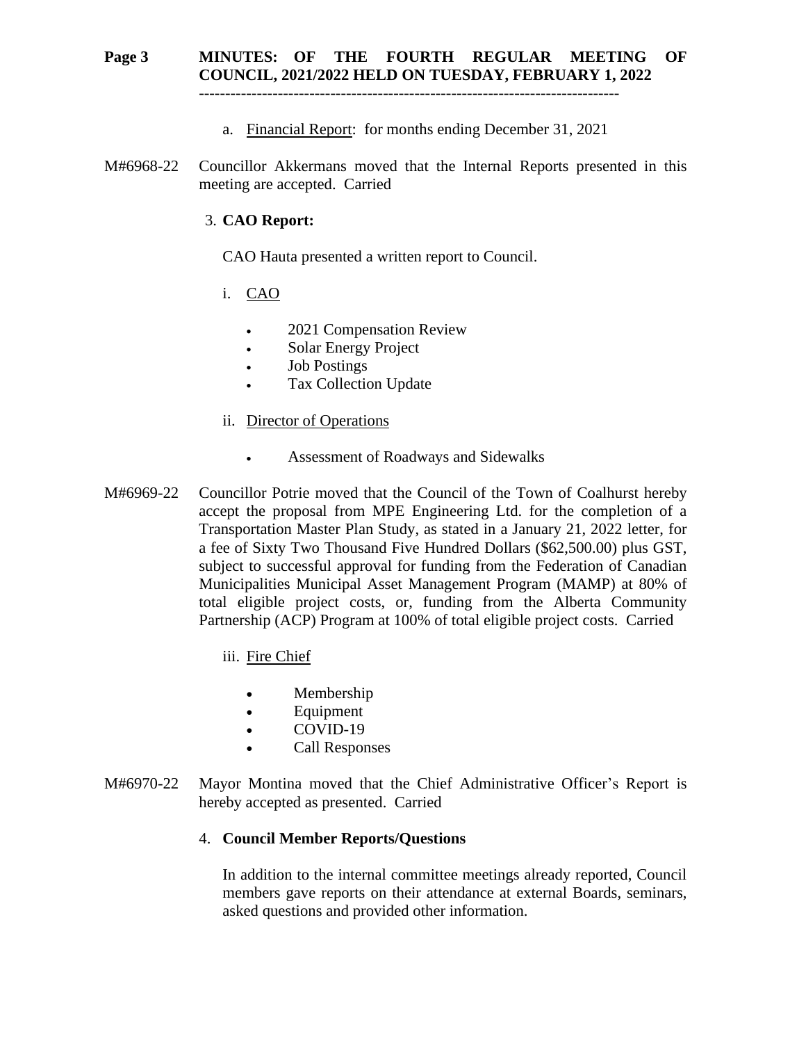# **Page 3 MINUTES: OF THE FOURTH REGULAR MEETING OF COUNCIL, 2021/2022 HELD ON TUESDAY, FEBRUARY 1, 2022**

**--------------------------------------------------------------------------------**

- a. Financial Report: for months ending December 31, 2021
- M#6968-22 Councillor Akkermans moved that the Internal Reports presented in this meeting are accepted. Carried

#### 3. **CAO Report:**

CAO Hauta presented a written report to Council.

- i. CAO
	- 2021 Compensation Review
	- Solar Energy Project
	- Job Postings
	- Tax Collection Update
- ii. Director of Operations
	- Assessment of Roadways and Sidewalks
- M#6969-22 Councillor Potrie moved that the Council of the Town of Coalhurst hereby accept the proposal from MPE Engineering Ltd. for the completion of a Transportation Master Plan Study, as stated in a January 21, 2022 letter, for a fee of Sixty Two Thousand Five Hundred Dollars (\$62,500.00) plus GST, subject to successful approval for funding from the Federation of Canadian Municipalities Municipal Asset Management Program (MAMP) at 80% of total eligible project costs, or, funding from the Alberta Community Partnership (ACP) Program at 100% of total eligible project costs. Carried
	- iii. Fire Chief
		- Membership
		- Equipment
		- COVID-19
		- Call Responses
- M#6970-22 Mayor Montina moved that the Chief Administrative Officer's Report is hereby accepted as presented. Carried

#### 4. **Council Member Reports/Questions**

In addition to the internal committee meetings already reported, Council members gave reports on their attendance at external Boards, seminars, asked questions and provided other information.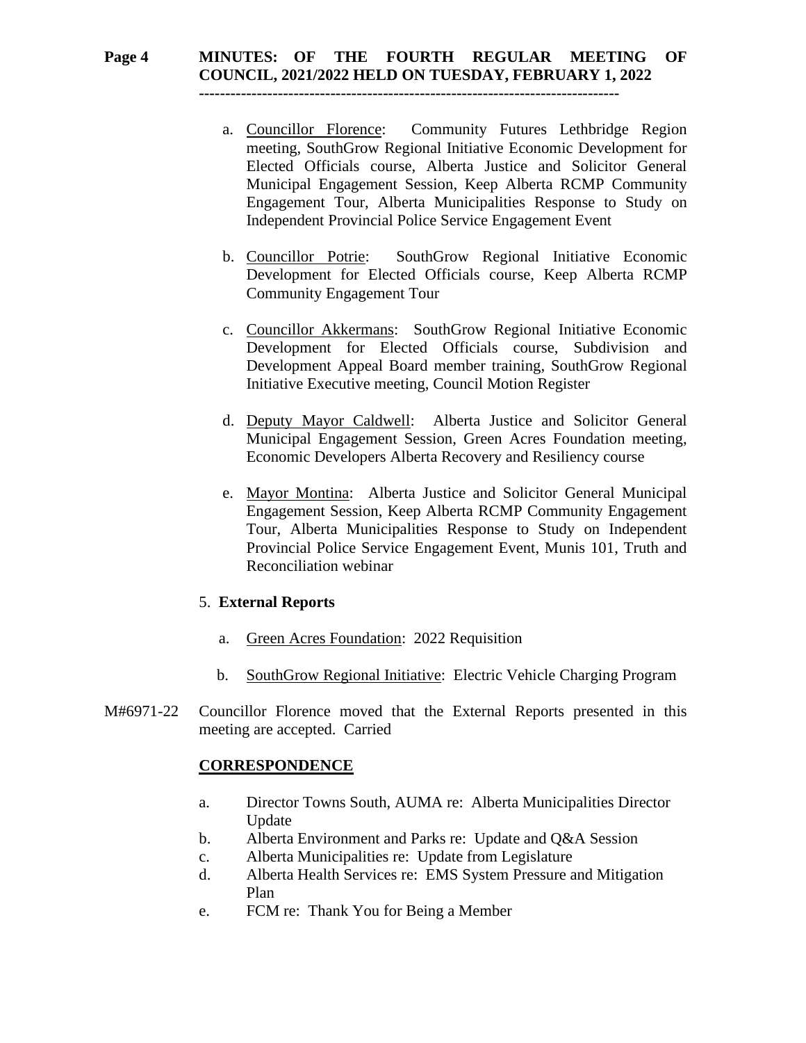# **Page 4 MINUTES: OF THE FOURTH REGULAR MEETING OF COUNCIL, 2021/2022 HELD ON TUESDAY, FEBRUARY 1, 2022**

**--------------------------------------------------------------------------------**

- a. Councillor Florence: Community Futures Lethbridge Region meeting, SouthGrow Regional Initiative Economic Development for Elected Officials course, Alberta Justice and Solicitor General Municipal Engagement Session, Keep Alberta RCMP Community Engagement Tour, Alberta Municipalities Response to Study on Independent Provincial Police Service Engagement Event
- b. Councillor Potrie: SouthGrow Regional Initiative Economic Development for Elected Officials course, Keep Alberta RCMP Community Engagement Tour
- c. Councillor Akkermans: SouthGrow Regional Initiative Economic Development for Elected Officials course, Subdivision and Development Appeal Board member training, SouthGrow Regional Initiative Executive meeting, Council Motion Register
- d. Deputy Mayor Caldwell: Alberta Justice and Solicitor General Municipal Engagement Session, Green Acres Foundation meeting, Economic Developers Alberta Recovery and Resiliency course
- e. Mayor Montina: Alberta Justice and Solicitor General Municipal Engagement Session, Keep Alberta RCMP Community Engagement Tour, Alberta Municipalities Response to Study on Independent Provincial Police Service Engagement Event, Munis 101, Truth and Reconciliation webinar

#### 5. **External Reports**

- a. Green Acres Foundation: 2022 Requisition
- b. SouthGrow Regional Initiative: Electric Vehicle Charging Program
- M#6971-22 Councillor Florence moved that the External Reports presented in this meeting are accepted. Carried

## **CORRESPONDENCE**

- a. Director Towns South, AUMA re: Alberta Municipalities Director Update
- b. Alberta Environment and Parks re: Update and Q&A Session
- c. Alberta Municipalities re: Update from Legislature
- d. Alberta Health Services re: EMS System Pressure and Mitigation Plan
- e. FCM re: Thank You for Being a Member